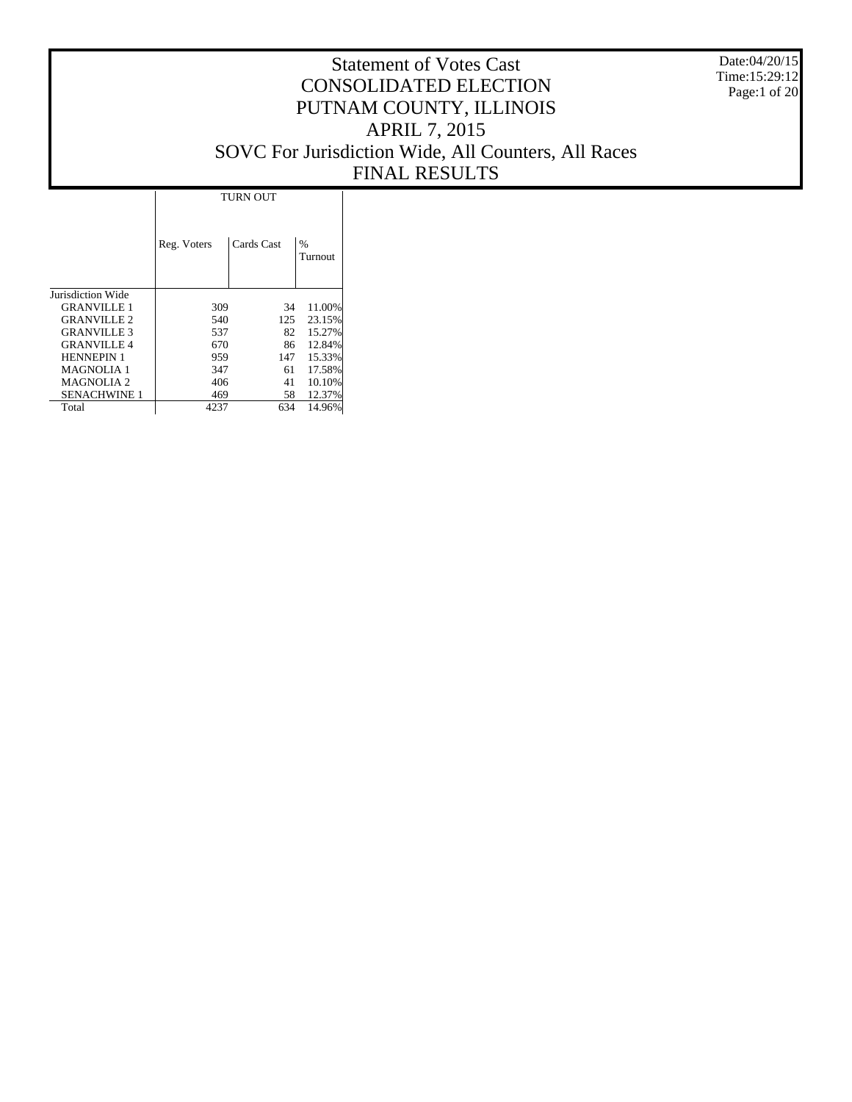Date:04/20/15 Time:15:29:12 Page:1 of 20

|                     |             | <b>TURN OUT</b> |                          |
|---------------------|-------------|-----------------|--------------------------|
|                     | Reg. Voters | Cards Cast      | $\frac{0}{0}$<br>Turnout |
| Jurisdiction Wide   |             |                 |                          |
| <b>GRANVILLE 1</b>  | 309         | 34              | 11.00%                   |
| <b>GRANVILLE 2</b>  | 540         | 125             | 23.15%                   |
| <b>GRANVILLE 3</b>  | 537         | 82              | 15.27%                   |
| <b>GRANVILLE 4</b>  | 670         | 86              | 12.84%                   |
| <b>HENNEPIN 1</b>   | 959         | 147             | 15.33%                   |
| <b>MAGNOLIA 1</b>   | 347         | 61              | 17.58%                   |
| <b>MAGNOLIA 2</b>   | 406         | 41              | 10.10%                   |
| <b>SENACHWINE 1</b> | 469         | 58              | 12.37%                   |
| Total               | 4237        | 634             | 14.96%                   |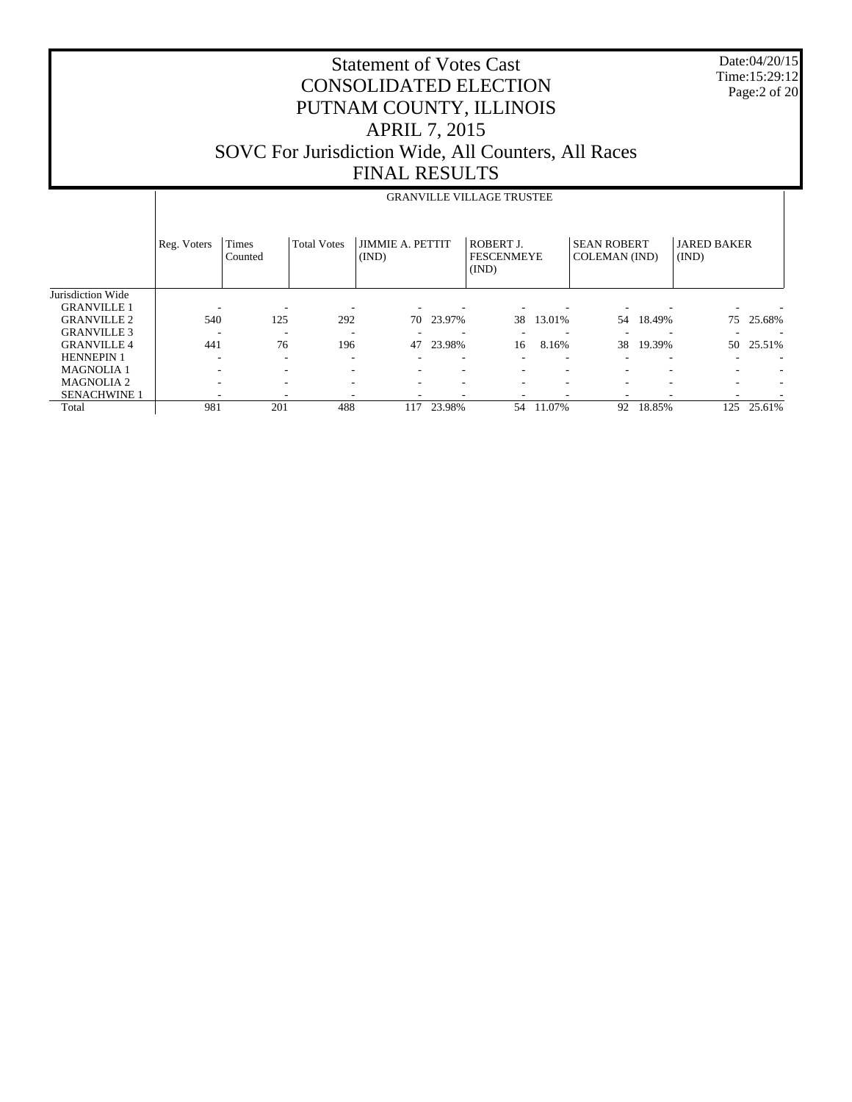Date:04/20/15 Time:15:29:12 Page:2 of 20

|                     |             | <b>GRANVILLE VILLAGE TRUSTEE</b> |                    |                                  |        |                                                |                          |                                     |        |                             |        |
|---------------------|-------------|----------------------------------|--------------------|----------------------------------|--------|------------------------------------------------|--------------------------|-------------------------------------|--------|-----------------------------|--------|
|                     | Reg. Voters | Times<br>Counted                 | <b>Total Votes</b> | <b>JIMMIE A. PETTIT</b><br>(IND) |        | <b>ROBERT J.</b><br><b>FESCENMEYE</b><br>(IND) |                          | <b>SEAN ROBERT</b><br>COLEMAN (IND) |        | <b>JARED BAKER</b><br>(IND) |        |
| Jurisdiction Wide   |             |                                  |                    |                                  |        |                                                |                          |                                     |        |                             |        |
| <b>GRANVILLE 1</b>  |             |                                  |                    |                                  |        |                                                |                          |                                     |        |                             |        |
| <b>GRANVILLE 2</b>  | 540         | 125                              | 292                | 70                               | 23.97% | 38                                             | 13.01%                   | 54                                  | 18.49% | 75                          | 25.68% |
| <b>GRANVILLE 3</b>  |             | ۰                                |                    |                                  |        |                                                | $\overline{\phantom{a}}$ |                                     |        |                             |        |
| <b>GRANVILLE 4</b>  | 441         | 76                               | 196                | 47                               | 23.98% | 16                                             | 8.16%                    | 38                                  | 19.39% | 50                          | 25.51% |
| <b>HENNEPIN 1</b>   |             | -                                |                    | -                                | ۰      |                                                | $\overline{\phantom{a}}$ |                                     |        | $\overline{\phantom{a}}$    |        |
| <b>MAGNOLIA1</b>    | ٠           | -                                |                    | ٠                                | ۰      |                                                | $\overline{\phantom{a}}$ | $\overline{\phantom{a}}$            |        | ۰                           |        |
| <b>MAGNOLIA2</b>    |             |                                  |                    | ٠                                |        |                                                | $\overline{\phantom{a}}$ | ۰                                   |        | $\sim$                      |        |
| <b>SENACHWINE 1</b> |             |                                  |                    | ۰                                |        |                                                | $\overline{\phantom{a}}$ | -                                   |        |                             |        |
| Total               | 981         | 201                              | 488                | 117                              | 23.98% | 54                                             | 11.07%                   | 92                                  | 18.85% | 125                         | 25.61% |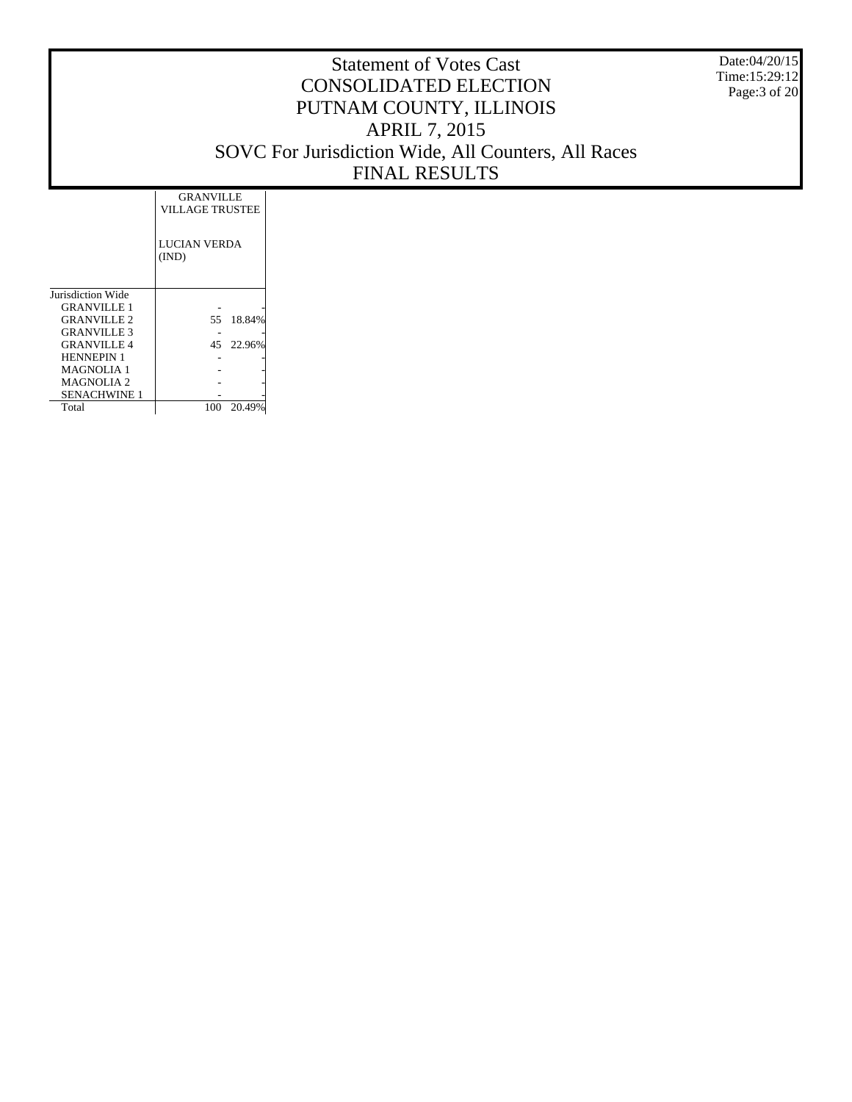Date:04/20/15 Time:15:29:12 Page:3 of 20

|                     | <b>GRANVILLE</b><br>VILLAGE TRUSTEE |        |
|---------------------|-------------------------------------|--------|
|                     | LUCIAN VERDA<br>(IND)               |        |
| Jurisdiction Wide   |                                     |        |
| <b>GRANVILLE 1</b>  |                                     |        |
| <b>GRANVILLE 2</b>  | 55.                                 | 18.84% |
| <b>GRANVILLE 3</b>  |                                     |        |
| <b>GRANVILLE 4</b>  | 45                                  | 22.96% |
| <b>HENNEPIN 1</b>   |                                     |        |
| <b>MAGNOLIA 1</b>   |                                     |        |
| <b>MAGNOLIA 2</b>   |                                     |        |
| <b>SENACHWINE 1</b> |                                     |        |
| Total               | 100                                 | 20.49% |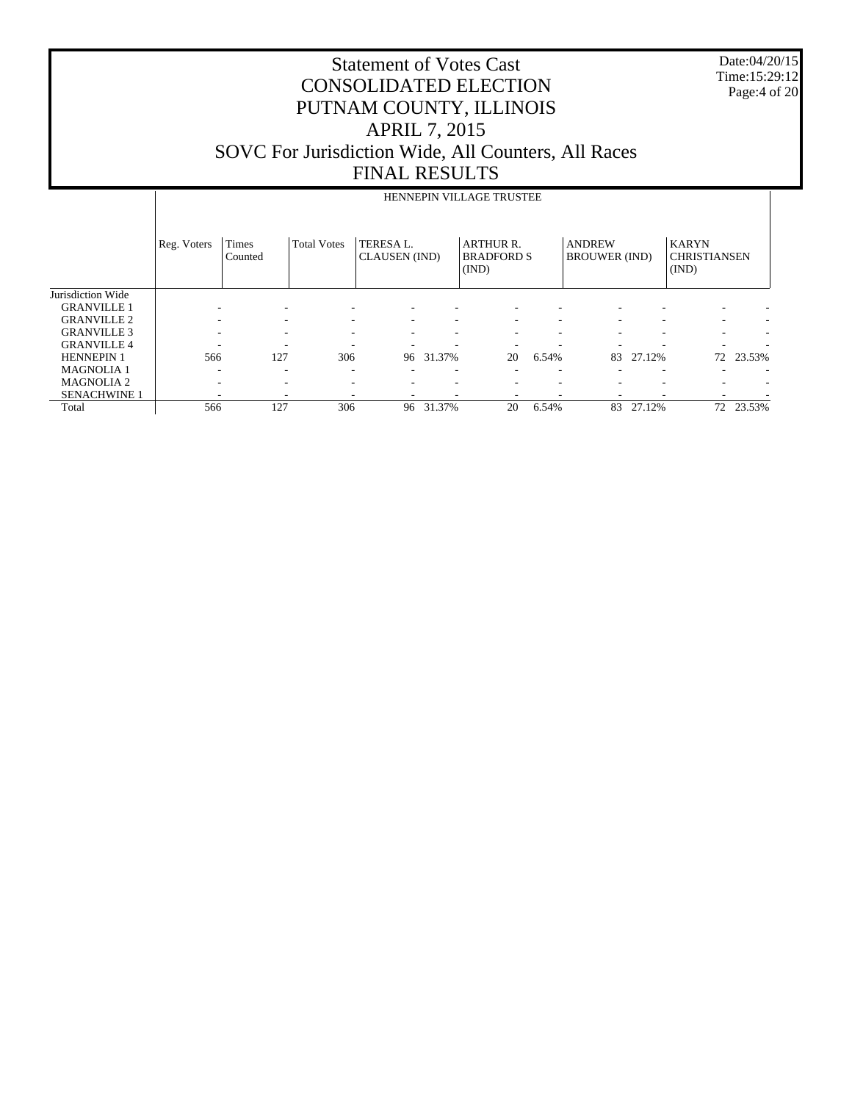Date:04/20/15 Time:15:29:12 Page:4 of 20

|                     |             | HENNEPIN VILLAGE TRUSTEE |                          |                                   |        |                                                |       |                                       |        |                                              |        |
|---------------------|-------------|--------------------------|--------------------------|-----------------------------------|--------|------------------------------------------------|-------|---------------------------------------|--------|----------------------------------------------|--------|
|                     | Reg. Voters | Times<br>Counted         | <b>Total Votes</b>       | TERESA L.<br><b>CLAUSEN</b> (IND) |        | <b>ARTHUR R.</b><br><b>BRADFORD S</b><br>(IND) |       | <b>ANDREW</b><br><b>BROUWER</b> (IND) |        | <b>KARYN</b><br><b>CHRISTIANSEN</b><br>(IND) |        |
| Jurisdiction Wide   |             |                          |                          |                                   |        |                                                |       |                                       |        |                                              |        |
| <b>GRANVILLE 1</b>  |             | ٠                        |                          |                                   |        |                                                |       |                                       |        |                                              |        |
| <b>GRANVILLE 2</b>  |             | $\overline{\phantom{a}}$ | $\overline{\phantom{a}}$ | $\overline{\phantom{a}}$          |        |                                                |       |                                       |        | $\overline{\phantom{a}}$                     |        |
| <b>GRANVILLE 3</b>  |             | -                        | $\overline{\phantom{a}}$ | ٠                                 |        |                                                | ٠     |                                       |        |                                              |        |
| <b>GRANVILLE 4</b>  |             | -                        |                          | ٠                                 |        |                                                |       |                                       |        |                                              |        |
| <b>HENNEPIN 1</b>   | 566         | 127                      | 306                      | 96                                | 31.37% | 20                                             | 6.54% | 83                                    | 27.12% | 72                                           | 23.53% |
| <b>MAGNOLIA1</b>    | -           | -                        | $\overline{\phantom{a}}$ | $\overline{\phantom{a}}$          | ۰      |                                                | ٠     |                                       |        |                                              |        |
| <b>MAGNOLIA2</b>    |             | -                        | $\overline{\phantom{a}}$ | ٠                                 |        |                                                | ٠     |                                       | ۰      | $\overline{\phantom{a}}$                     |        |
| <b>SENACHWINE 1</b> |             | -                        |                          |                                   |        |                                                |       |                                       |        | ۰                                            |        |
| Total               | 566         | 127                      | 306                      | 96                                | 31.37% | 20                                             | 6.54% | 83                                    | 27.12% | 72                                           | 23.53% |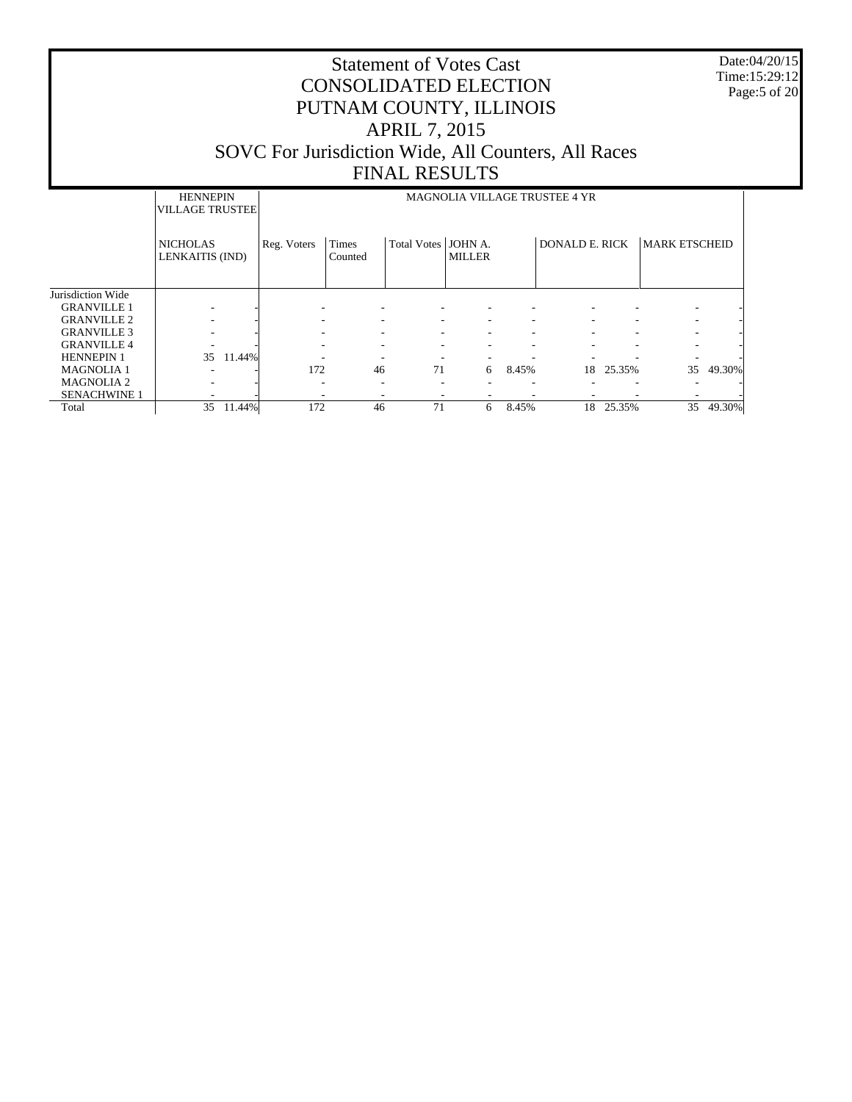Date:04/20/15 Time:15:29:12 Page:5 of 20

|                     | <b>HENNEPIN</b><br><b>VILLAGE TRUSTEE</b> |        |                          | <b>MAGNOLIA VILLAGE TRUSTEE 4 YR</b> |                     |               |       |                       |        |                      |        |
|---------------------|-------------------------------------------|--------|--------------------------|--------------------------------------|---------------------|---------------|-------|-----------------------|--------|----------------------|--------|
|                     | <b>NICHOLAS</b><br>LENKAITIS (IND)        |        | Reg. Voters              | Times<br>Counted                     | Total Votes JOHN A. | <b>MILLER</b> |       | <b>DONALD E. RICK</b> |        | <b>MARK ETSCHEID</b> |        |
| Jurisdiction Wide   |                                           |        |                          |                                      |                     |               |       |                       |        |                      |        |
| <b>GRANVILLE 1</b>  |                                           |        |                          |                                      |                     |               |       |                       |        |                      |        |
| <b>GRANVILLE 2</b>  |                                           |        |                          |                                      | ۰                   | ۰             |       |                       |        |                      |        |
| <b>GRANVILLE 3</b>  |                                           |        |                          |                                      | ۰                   |               |       |                       |        |                      |        |
| <b>GRANVILLE 4</b>  |                                           |        |                          |                                      |                     |               |       |                       |        |                      |        |
| <b>HENNEPIN 1</b>   | 35                                        | 11.44% |                          |                                      |                     |               |       |                       |        |                      |        |
| <b>MAGNOLIA 1</b>   |                                           |        | 172                      | 46                                   | 71                  | 6             | 8.45% | 18                    | 25.35% | 35                   | 49.30% |
| <b>MAGNOLIA2</b>    |                                           |        | $\overline{\phantom{a}}$ |                                      |                     |               |       |                       |        |                      |        |
| <b>SENACHWINE 1</b> |                                           |        | $\overline{\phantom{a}}$ |                                      | ۰                   | ۰             |       |                       |        |                      |        |
| Total               | 35                                        | 11.44% | 172                      | 46                                   | 71                  | 6             | 8.45% | 18                    | 25.35% | 35                   | 49.30% |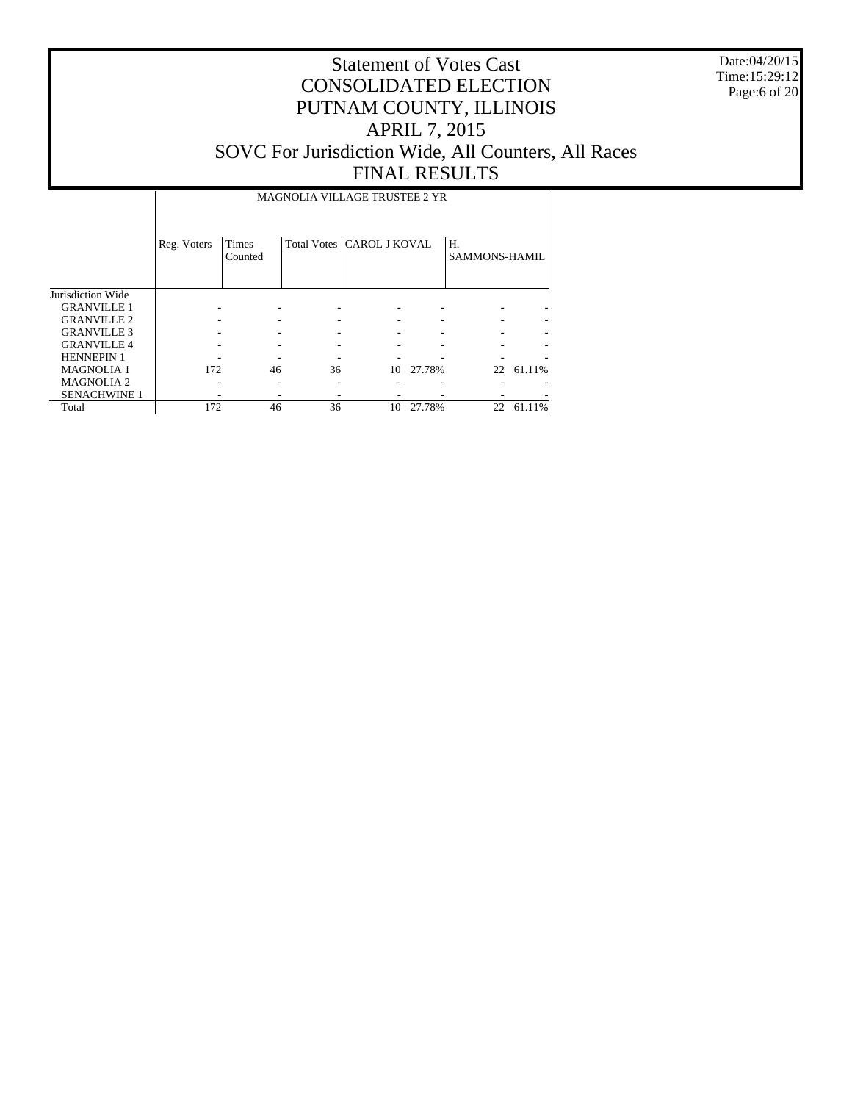Date:04/20/15 Time:15:29:12 Page:6 of 20

# Statement of Votes Cast CONSOLIDATED ELECTION PUTNAM COUNTY, ILLINOIS APRIL 7, 2015 SOVC For Jurisdiction Wide, All Counters, All Races FINAL RESULTS

#### MAGNOLIA VILLAGE TRUSTEE 2 YR

|                     | Reg. Voters | Times<br>Counted |    | Total Votes   CAROL J KOVAL |           | Η.<br>SAMMONS-HAMIL |           |
|---------------------|-------------|------------------|----|-----------------------------|-----------|---------------------|-----------|
| Jurisdiction Wide   |             |                  |    |                             |           |                     |           |
| <b>GRANVILLE 1</b>  |             |                  |    |                             |           |                     |           |
| <b>GRANVILLE 2</b>  |             |                  |    |                             |           |                     |           |
| <b>GRANVILLE 3</b>  |             |                  |    |                             |           |                     |           |
| <b>GRANVILLE4</b>   |             |                  |    |                             |           |                     |           |
| <b>HENNEPIN 1</b>   |             |                  |    |                             |           |                     |           |
| <b>MAGNOLIA 1</b>   | 172         | 46               | 36 |                             | 10 27.78% |                     | 22 61.11% |
| <b>MAGNOLIA 2</b>   |             |                  |    |                             |           |                     |           |
| <b>SENACHWINE 1</b> |             |                  |    |                             |           |                     |           |
| Total               | 172         | 46               | 36 | 10                          | 27.78%    | 22                  | 61.11%    |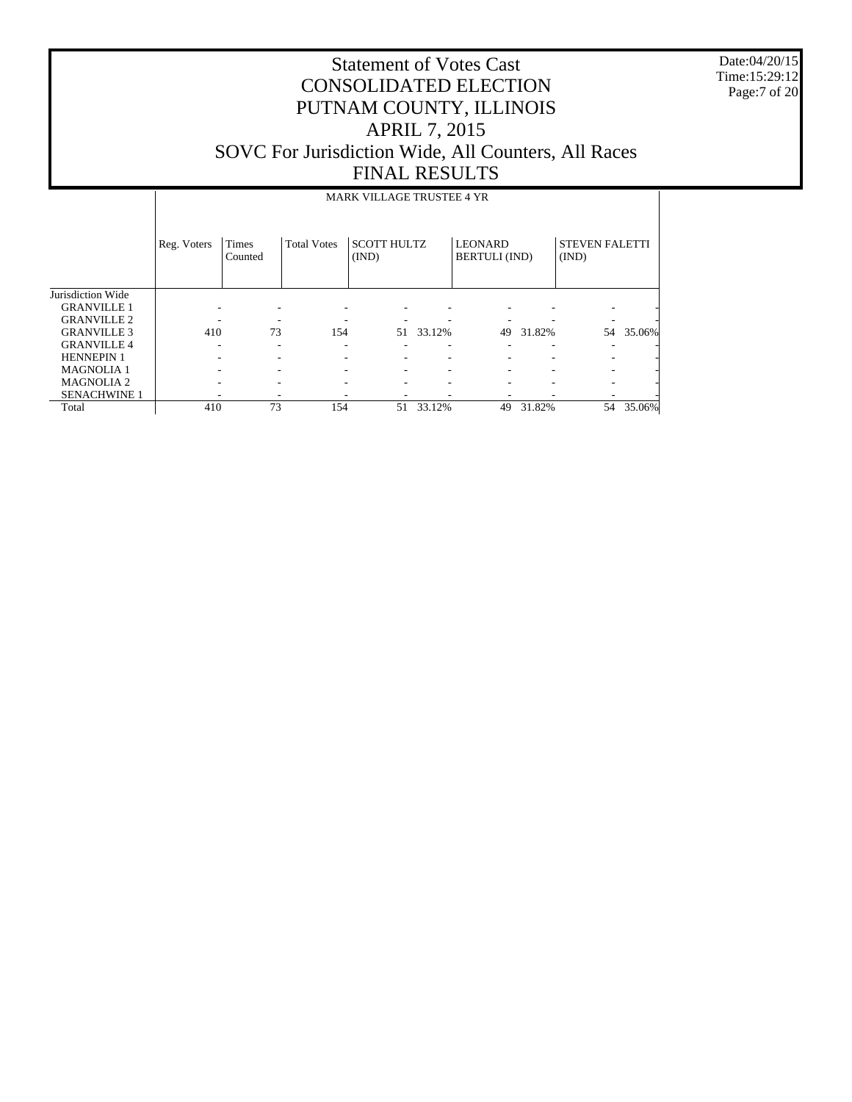Date:04/20/15 Time:15:29:12 Page:7 of 20

|                     |             | <b>MARK VILLAGE TRUSTEE 4 YR</b> |                    |                             |        |                                        |        |                                |           |  |  |  |
|---------------------|-------------|----------------------------------|--------------------|-----------------------------|--------|----------------------------------------|--------|--------------------------------|-----------|--|--|--|
|                     | Reg. Voters | Times<br>Counted                 | <b>Total Votes</b> | <b>SCOTT HULTZ</b><br>(IND) |        | <b>LEONARD</b><br><b>BERTULI</b> (IND) |        | <b>STEVEN FALETTI</b><br>(IND) |           |  |  |  |
| Jurisdiction Wide   |             |                                  |                    |                             |        |                                        |        |                                |           |  |  |  |
| <b>GRANVILLE 1</b>  |             |                                  |                    |                             |        |                                        |        |                                |           |  |  |  |
| <b>GRANVILLE 2</b>  |             |                                  |                    |                             |        |                                        |        |                                |           |  |  |  |
| <b>GRANVILLE 3</b>  | 410         | 73                               | 154                | 51                          | 33.12% | 49                                     | 31.82% |                                | 54 35.06% |  |  |  |
| <b>GRANVILLE 4</b>  |             |                                  |                    |                             |        |                                        |        |                                |           |  |  |  |
| <b>HENNEPIN 1</b>   |             |                                  |                    |                             |        |                                        |        |                                |           |  |  |  |
| <b>MAGNOLIA1</b>    |             |                                  |                    |                             |        |                                        |        |                                |           |  |  |  |
| <b>MAGNOLIA2</b>    |             |                                  |                    |                             |        |                                        |        |                                |           |  |  |  |
| <b>SENACHWINE 1</b> |             |                                  |                    |                             |        |                                        |        |                                |           |  |  |  |
| Total               | 410         | 73                               | 154                | 51                          | 33.12% | 49                                     | 31.82% | 54                             | 35.06%    |  |  |  |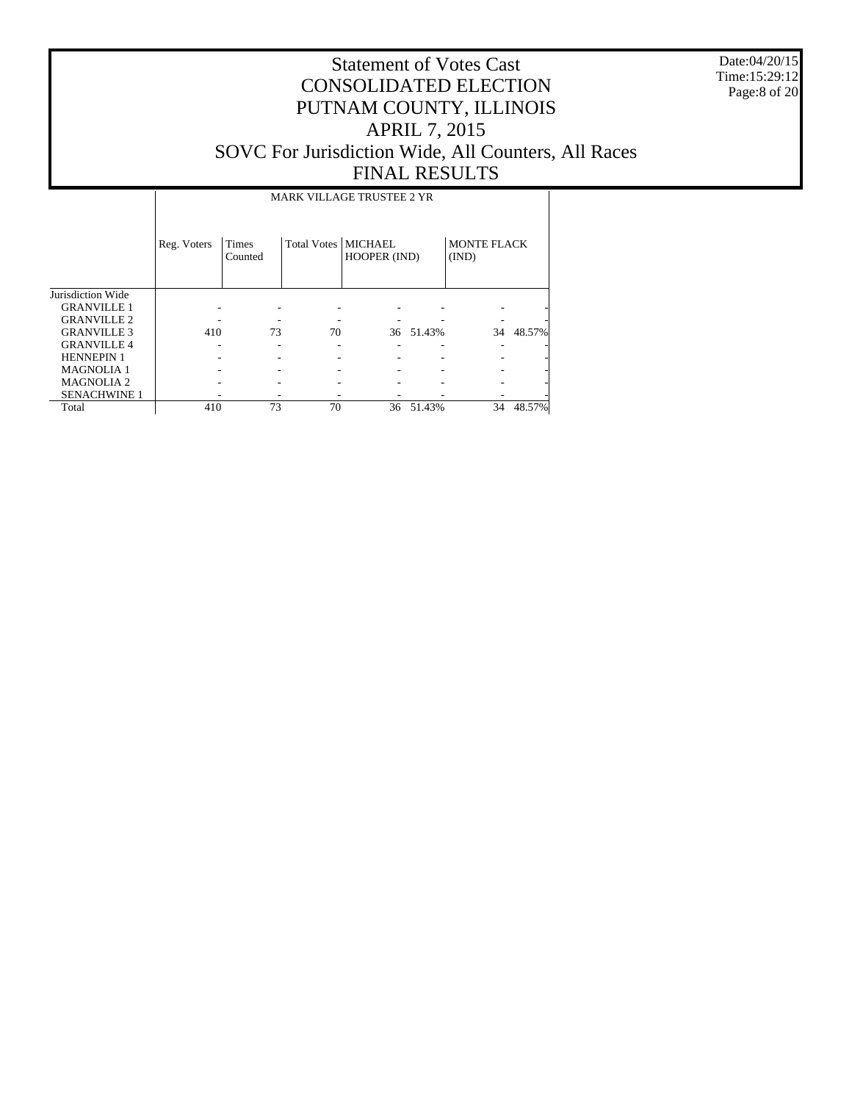Date:04/20/15 Time:15:29:12 Page:8 of 20

# Statement of Votes Cast CONSOLIDATED ELECTION PUTNAM COUNTY, ILLINOIS APRIL 7, 2015 SOVC For Jurisdiction Wide, All Counters, All Races FINAL RESULTS

### MARK VILLAGE TRUSTEE 2 YR

|                     | Reg. Voters | <b>Times</b><br>Counted | Total Votes   MICHAEL | HOOPER (IND) |           | <b>MONTE FLACK</b><br>(IND) |           |
|---------------------|-------------|-------------------------|-----------------------|--------------|-----------|-----------------------------|-----------|
| Jurisdiction Wide   |             |                         |                       |              |           |                             |           |
| <b>GRANVILLE 1</b>  |             |                         |                       |              |           |                             |           |
| <b>GRANVILLE 2</b>  |             |                         |                       |              |           |                             |           |
| <b>GRANVILLE 3</b>  | 410         | 73                      | 70                    |              | 36 51.43% |                             | 34 48.57% |
| <b>GRANVILLE 4</b>  |             |                         |                       |              |           |                             |           |
| <b>HENNEPIN 1</b>   |             |                         |                       |              |           |                             |           |
| <b>MAGNOLIA1</b>    |             |                         |                       |              |           |                             |           |
| <b>MAGNOLIA 2</b>   |             |                         |                       |              |           |                             |           |
| <b>SENACHWINE 1</b> |             |                         |                       |              |           |                             |           |
| Total               | 410         | 73                      | 70                    | 36           | 51.43%    | 34                          | 48.57%    |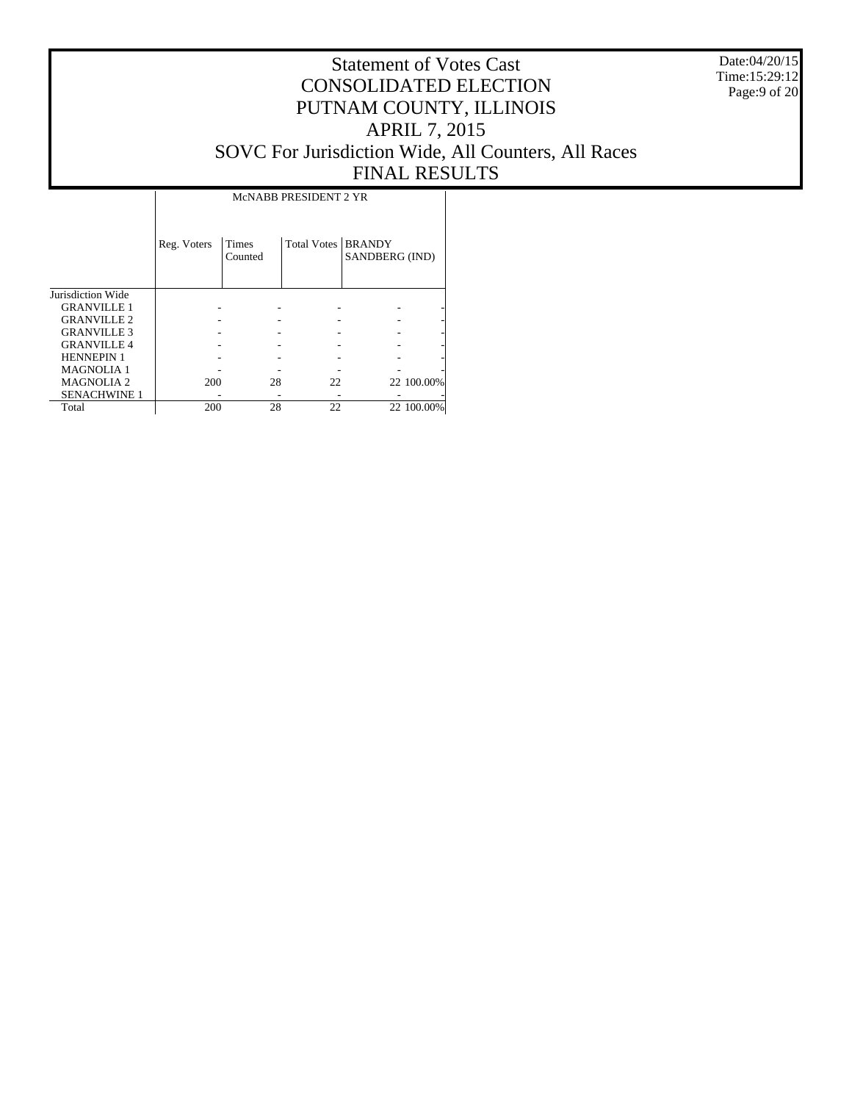Date:04/20/15 Time:15:29:12 Page:9 of 20

# Statement of Votes Cast CONSOLIDATED ELECTION PUTNAM COUNTY, ILLINOIS APRIL 7, 2015 SOVC For Jurisdiction Wide, All Counters, All Races FINAL RESULTS

|                     |             | McNABB PRESIDENT 2 YR   |                      |                |            |  |  |  |  |
|---------------------|-------------|-------------------------|----------------------|----------------|------------|--|--|--|--|
|                     | Reg. Voters | <b>Times</b><br>Counted | Total Votes   BRANDY | SANDBERG (IND) |            |  |  |  |  |
| Jurisdiction Wide   |             |                         |                      |                |            |  |  |  |  |
| <b>GRANVILLE 1</b>  |             |                         |                      |                |            |  |  |  |  |
| <b>GRANVILLE 2</b>  |             |                         |                      |                |            |  |  |  |  |
| <b>GRANVILLE 3</b>  |             |                         |                      |                |            |  |  |  |  |
| <b>GRANVILLE 4</b>  |             |                         |                      |                |            |  |  |  |  |
| <b>HENNEPIN 1</b>   |             |                         |                      |                |            |  |  |  |  |
| <b>MAGNOLIA1</b>    |             |                         |                      |                |            |  |  |  |  |
| <b>MAGNOLIA2</b>    | 200         | 28                      | 22                   |                | 22 100.00% |  |  |  |  |
| <b>SENACHWINE 1</b> |             |                         |                      |                |            |  |  |  |  |
| Total               | 200         | 28                      | 22                   |                | 22 100.00% |  |  |  |  |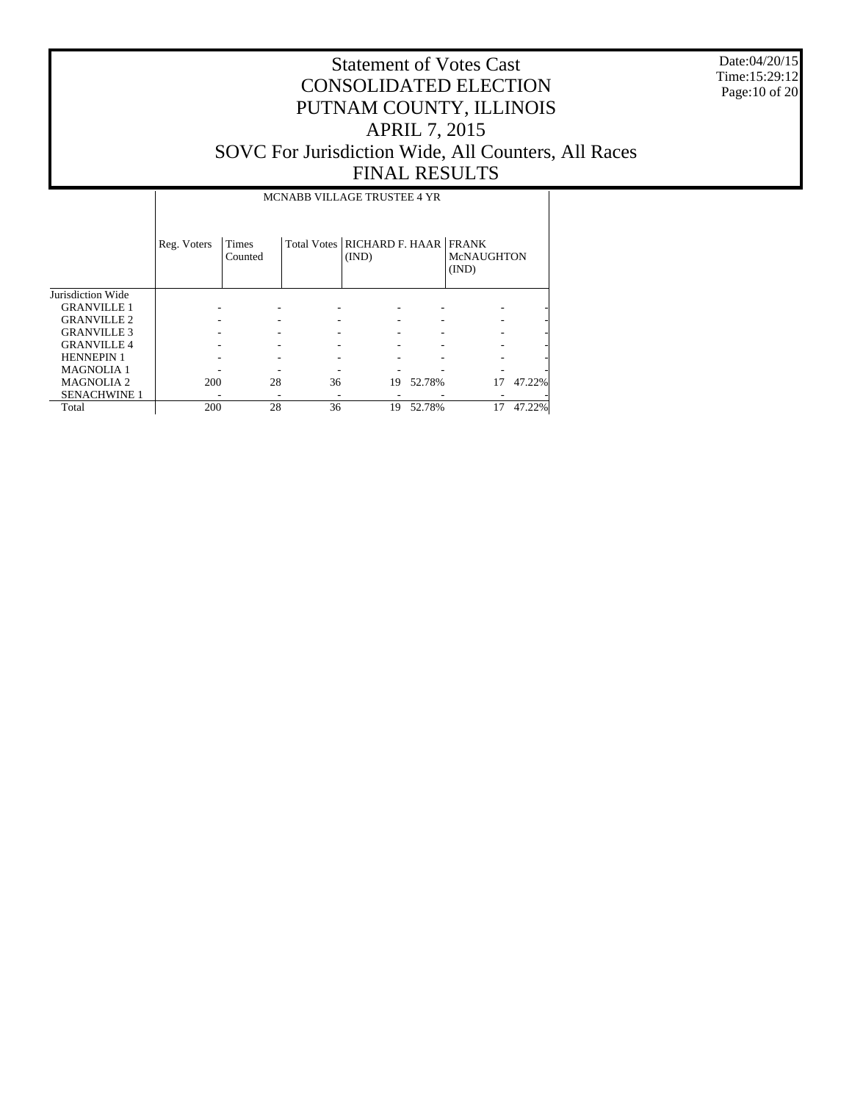Date:04/20/15 Time:15:29:12 Page:10 of 20

# Statement of Votes Cast CONSOLIDATED ELECTION PUTNAM COUNTY, ILLINOIS APRIL 7, 2015 SOVC For Jurisdiction Wide, All Counters, All Races FINAL RESULTS

MCNABB VILLAGE TRUSTEE 4 YR

|                     | Reg. Voters | Times<br>Counted |    | Total Votes   RICHARD F. HAAR   FRANK<br>(IND) |        | <b>McNAUGHTON</b><br>(IND) |        |
|---------------------|-------------|------------------|----|------------------------------------------------|--------|----------------------------|--------|
| Jurisdiction Wide   |             |                  |    |                                                |        |                            |        |
| <b>GRANVILLE 1</b>  |             |                  |    |                                                |        |                            |        |
| <b>GRANVILLE 2</b>  |             |                  |    |                                                |        |                            | ۰      |
| <b>GRANVILLE 3</b>  |             |                  |    |                                                |        |                            | ۰      |
| <b>GRANVILLE4</b>   |             |                  |    |                                                |        |                            |        |
| <b>HENNEPIN 1</b>   |             |                  |    |                                                |        |                            |        |
| <b>MAGNOLIA1</b>    |             |                  |    |                                                |        |                            |        |
| <b>MAGNOLIA 2</b>   | 200         | 28               | 36 | 19                                             | 52.78% | 17                         | 47.22% |
| <b>SENACHWINE 1</b> |             |                  |    |                                                |        |                            |        |
| Total               | 200         | 28               | 36 | 19                                             | 52.78% | 17                         | 47.22% |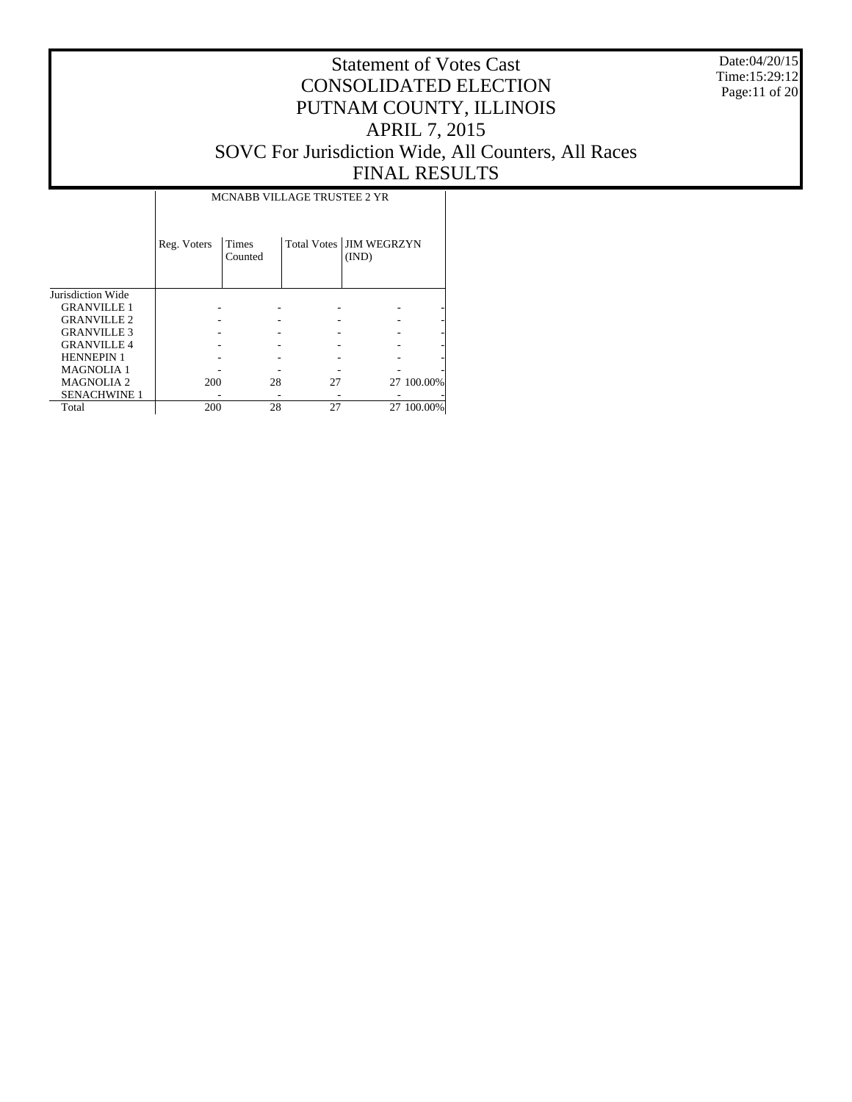Date:04/20/15 Time:15:29:12 Page:11 of 20

|                     |             | MCNABB VILLAGE TRUSTEE 2 YR |    |                                    |            |  |  |  |  |
|---------------------|-------------|-----------------------------|----|------------------------------------|------------|--|--|--|--|
|                     | Reg. Voters | Times<br>Counted            |    | Total Votes   JIM WEGRZYN<br>(IND) |            |  |  |  |  |
| Jurisdiction Wide   |             |                             |    |                                    |            |  |  |  |  |
| <b>GRANVILLE 1</b>  |             |                             |    |                                    |            |  |  |  |  |
| <b>GRANVILLE 2</b>  |             |                             |    |                                    |            |  |  |  |  |
| <b>GRANVILLE 3</b>  |             |                             |    |                                    |            |  |  |  |  |
| <b>GRANVILLE 4</b>  |             |                             |    |                                    |            |  |  |  |  |
| <b>HENNEPIN 1</b>   |             |                             |    |                                    |            |  |  |  |  |
| <b>MAGNOLIA1</b>    |             |                             |    |                                    |            |  |  |  |  |
| <b>MAGNOLIA2</b>    | 200         | 28                          | 27 |                                    | 27 100.00% |  |  |  |  |
| <b>SENACHWINE 1</b> |             |                             |    |                                    |            |  |  |  |  |
| Total               | 200         | 28                          | 27 |                                    | 27 100,00% |  |  |  |  |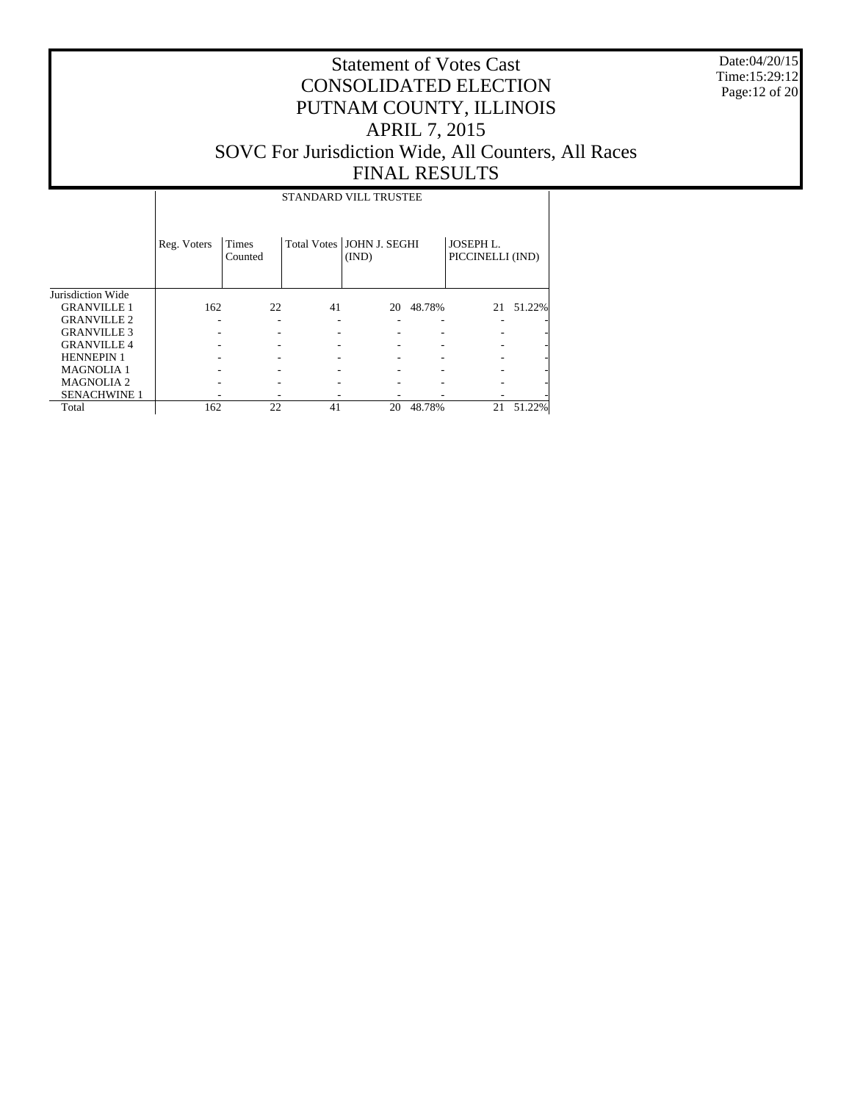Date:04/20/15 Time:15:29:12 Page:12 of 20

# Statement of Votes Cast CONSOLIDATED ELECTION PUTNAM COUNTY, ILLINOIS APRIL 7, 2015 SOVC For Jurisdiction Wide, All Counters, All Races FINAL RESULTS

### STANDARD VILL TRUSTEE

|                     | Reg. Voters | Times<br>Counted |    | Total Votes   JOHN J. SEGHI<br>(IND) |        | <b>JOSEPH L.</b><br>PICCINELLI (IND) |        |
|---------------------|-------------|------------------|----|--------------------------------------|--------|--------------------------------------|--------|
| Jurisdiction Wide   |             |                  |    |                                      |        |                                      |        |
| <b>GRANVILLE 1</b>  | 162         | 22               | 41 | 20                                   | 48.78% | 21                                   | 51.22% |
| <b>GRANVILLE 2</b>  |             |                  |    |                                      |        |                                      |        |
| <b>GRANVILLE 3</b>  |             |                  |    |                                      |        |                                      |        |
| <b>GRANVILLE 4</b>  |             |                  |    |                                      |        |                                      |        |
| <b>HENNEPIN 1</b>   |             |                  |    |                                      |        |                                      |        |
| <b>MAGNOLIA1</b>    |             |                  |    |                                      |        |                                      |        |
| <b>MAGNOLIA 2</b>   |             |                  |    |                                      |        |                                      |        |
| <b>SENACHWINE 1</b> |             |                  |    |                                      |        |                                      |        |
| Total               | 162         | 22               | 41 | 20                                   | 48.78% | 21                                   | 51.22% |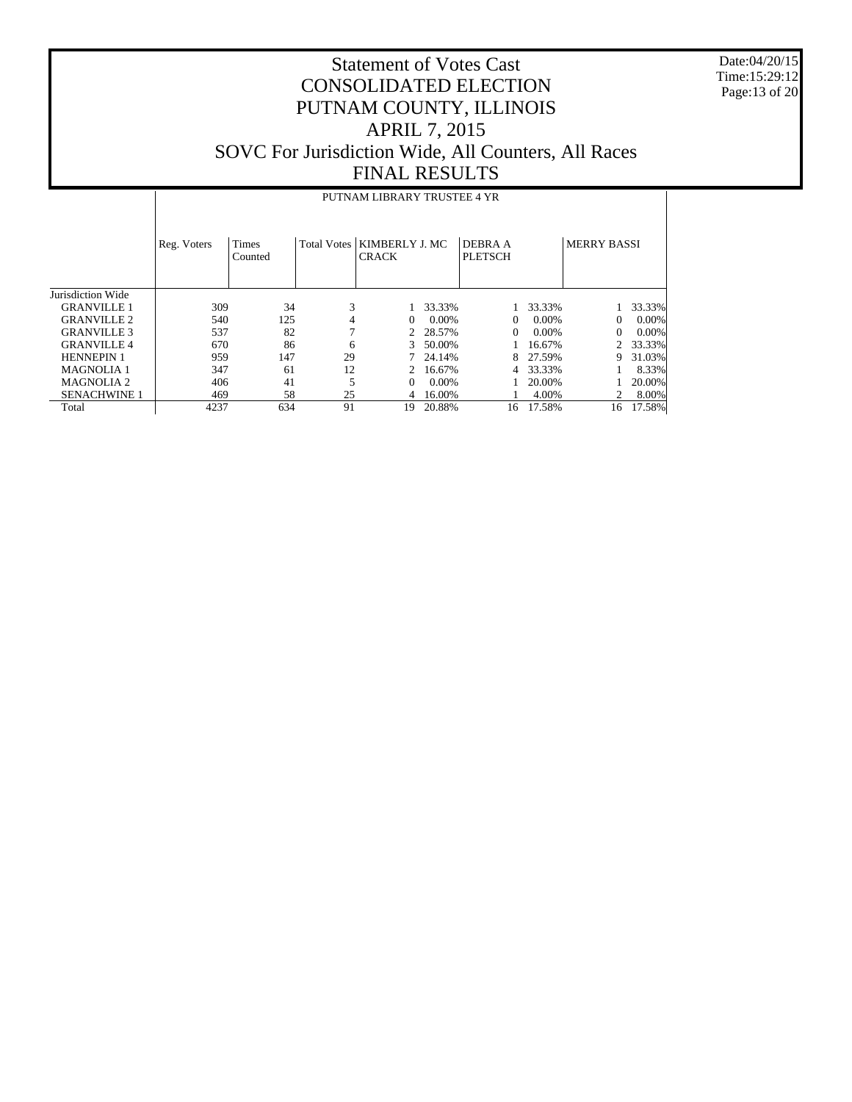Date:04/20/15 Time:15:29:12 Page:13 of 20

|                       | PUTNAM LIBRARY TRUSTEE 4 YR |                         |                    |                                |          |                                  |          |                    |          |  |
|-----------------------|-----------------------------|-------------------------|--------------------|--------------------------------|----------|----------------------------------|----------|--------------------|----------|--|
|                       | Reg. Voters                 | <b>Times</b><br>Counted | <b>Total Votes</b> | KIMBERLY J. MC<br><b>CRACK</b> |          | <b>DEBRA A</b><br><b>PLETSCH</b> |          | <b>MERRY BASSI</b> |          |  |
| Jurisdiction Wide     |                             |                         |                    |                                |          |                                  |          |                    |          |  |
| <b>GRANVILLE 1</b>    | 309                         | 34                      | 3                  |                                | 33.33%   |                                  | 33.33%   |                    | 33.33%   |  |
| <b>GRANVILLE 2</b>    | 540                         | 125                     | 4                  | $\Omega$                       | $0.00\%$ | $\Omega$                         | $0.00\%$ | $\Omega$           | $0.00\%$ |  |
| <b>GRANVILLE 3</b>    | 537                         | 82                      | 7                  |                                | 28.57%   | $\Omega$                         | 0.00%    | $\Omega$           | $0.00\%$ |  |
| <b>GRANVILLE4</b>     | 670                         | 86                      | 6                  | 3                              | 50.00%   |                                  | 16.67%   |                    | 33.33%   |  |
| <b>HENNEPIN 1</b>     | 959                         | 147                     | 29                 |                                | 24.14%   | 8                                | 27.59%   | 9                  | 31.03%   |  |
| <b>MAGNOLIA1</b>      | 347                         | 61                      | 12                 |                                | 16.67%   | 4                                | 33.33%   |                    | 8.33%    |  |
| MAGNOLIA <sub>2</sub> | 406                         | 41                      | 5                  | $\Omega$                       | $0.00\%$ |                                  | 20.00%   |                    | 20.00%   |  |
| <b>SENACHWINE 1</b>   | 469                         | 58                      | 25                 | 4                              | 16.00%   |                                  | 4.00%    |                    | 8.00%    |  |
| Total                 | 4237                        | 634                     | 91                 | 19                             | 20.88%   | 16                               | 17.58%   | 16                 | 17.58%   |  |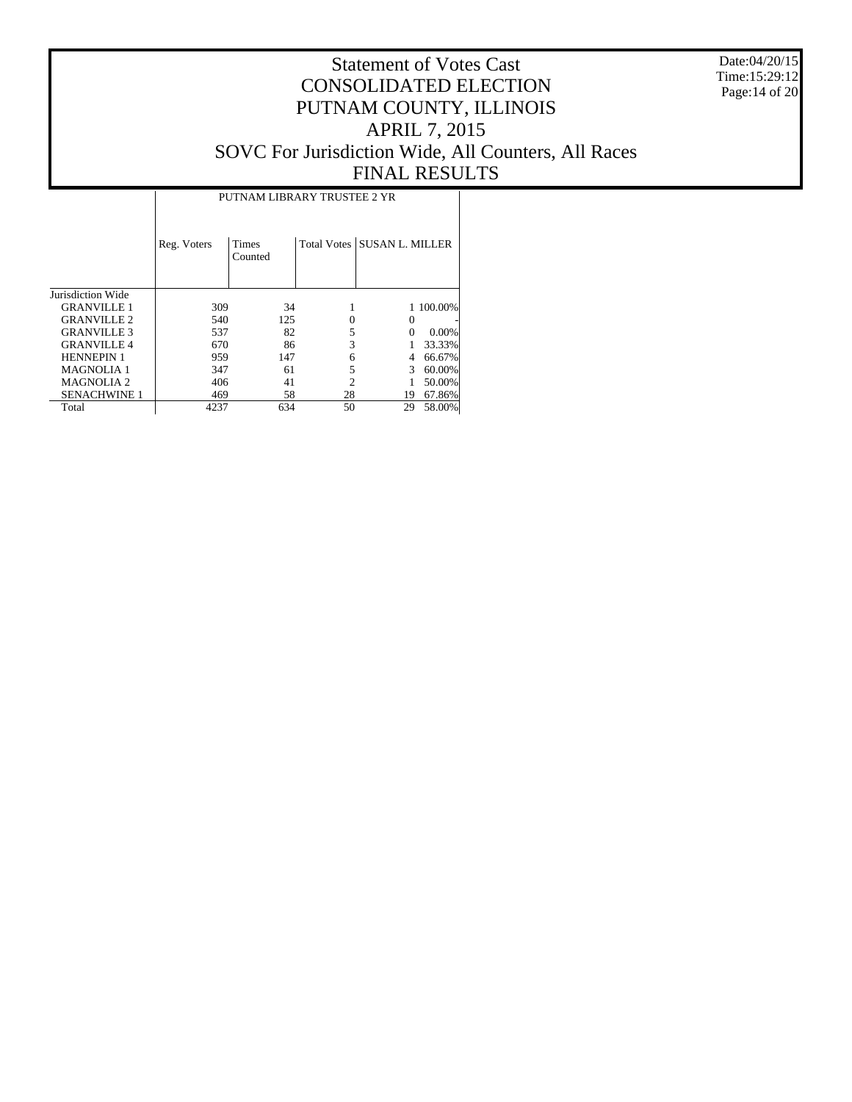Date:04/20/15 Time:15:29:12 Page:14 of 20

|                     | PUTNAM LIBRARY TRUSTEE 2 YR |                         |    |                             |           |  |  |  |  |  |
|---------------------|-----------------------------|-------------------------|----|-----------------------------|-----------|--|--|--|--|--|
|                     | Reg. Voters                 | <b>Times</b><br>Counted |    | Total Votes SUSAN L. MILLER |           |  |  |  |  |  |
| Jurisdiction Wide   |                             |                         |    |                             |           |  |  |  |  |  |
| <b>GRANVILLE 1</b>  | 309                         | 34                      |    |                             | 1 100.00% |  |  |  |  |  |
| <b>GRANVILLE 2</b>  | 540                         | 125                     |    |                             |           |  |  |  |  |  |
| <b>GRANVILLE 3</b>  | 537                         | 82                      | 5  |                             | $0.00\%$  |  |  |  |  |  |
| <b>GRANVILLE 4</b>  | 670                         | 86                      | 3  |                             | 33.33%    |  |  |  |  |  |
| <b>HENNEPIN 1</b>   | 959                         | 147                     | 6  |                             | 66.67%    |  |  |  |  |  |
| <b>MAGNOLIA1</b>    | 347                         | 61                      |    | 3                           | 60.00%    |  |  |  |  |  |
| <b>MAGNOLIA2</b>    | 406                         | 41                      | 2  |                             | 50.00%    |  |  |  |  |  |
| <b>SENACHWINE 1</b> | 469                         | 58                      | 28 | 19                          | 67.86%    |  |  |  |  |  |
| Total               | 4237                        | 634                     | 50 | 29                          | 58.00%    |  |  |  |  |  |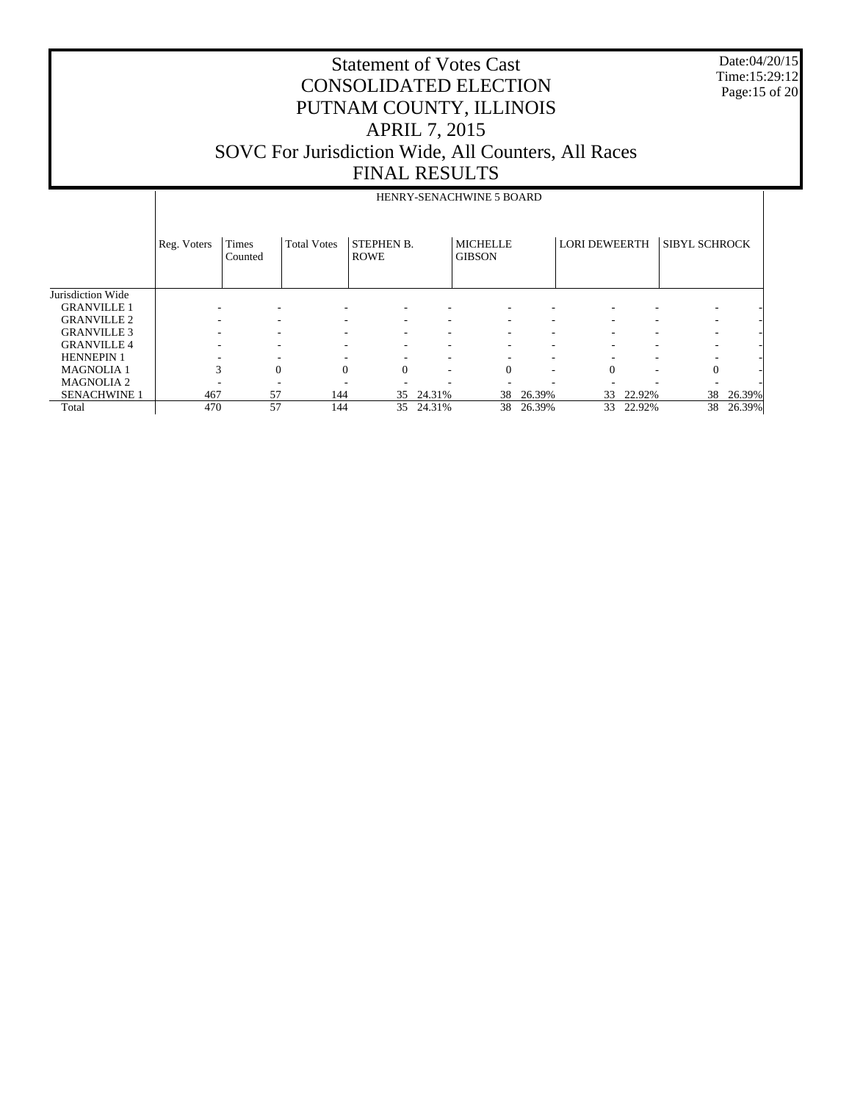Date:04/20/15 Time:15:29:12 Page:15 of 20

|                     |             | HENRY-SENACHWINE 5 BOARD |                    |                                  |        |                                  |        |                      |                          |                          |        |
|---------------------|-------------|--------------------------|--------------------|----------------------------------|--------|----------------------------------|--------|----------------------|--------------------------|--------------------------|--------|
|                     | Reg. Voters | Times<br>Counted         | <b>Total Votes</b> | <b>STEPHEN B.</b><br><b>ROWE</b> |        | <b>MICHELLE</b><br><b>GIBSON</b> |        | <b>LORI DEWEERTH</b> |                          | <b>SIBYL SCHROCK</b>     |        |
| Jurisdiction Wide   |             |                          |                    |                                  |        |                                  |        |                      |                          |                          |        |
| <b>GRANVILLE 1</b>  |             |                          |                    |                                  |        |                                  |        |                      |                          |                          |        |
| <b>GRANVILLE 2</b>  |             |                          |                    |                                  |        |                                  |        |                      |                          |                          |        |
| <b>GRANVILLE 3</b>  |             | -                        |                    |                                  |        |                                  |        |                      | ۰                        |                          |        |
| <b>GRANVILLE 4</b>  |             | $\overline{\phantom{a}}$ |                    | ۰                                |        |                                  | -      |                      | $\overline{\phantom{a}}$ | $\overline{\phantom{a}}$ |        |
| <b>HENNEPIN 1</b>   |             |                          |                    | ۰                                | ۰      | ۰                                | ٠      |                      | $\overline{\phantom{a}}$ |                          |        |
| <b>MAGNOLIA1</b>    | 3           | $\Omega$                 | $\Omega$           | $\Omega$                         | ۰      | $\Omega$                         | ٠      | $\Omega$             | $\overline{\phantom{a}}$ | $\mathbf{0}$             |        |
| <b>MAGNOLIA2</b>    |             |                          |                    |                                  |        |                                  | -      |                      | $\overline{\phantom{a}}$ | $\overline{\phantom{a}}$ |        |
| <b>SENACHWINE 1</b> | 467         | 57                       | 144                | 35                               | 24.31% | 38                               | 26.39% | 33                   | 22.92%                   | 38                       | 26.39% |
| Total               | 470         | 57                       | 144                | 35                               | 24.31% | 38                               | 26.39% | 33                   | 22.92%                   | 38                       | 26.39% |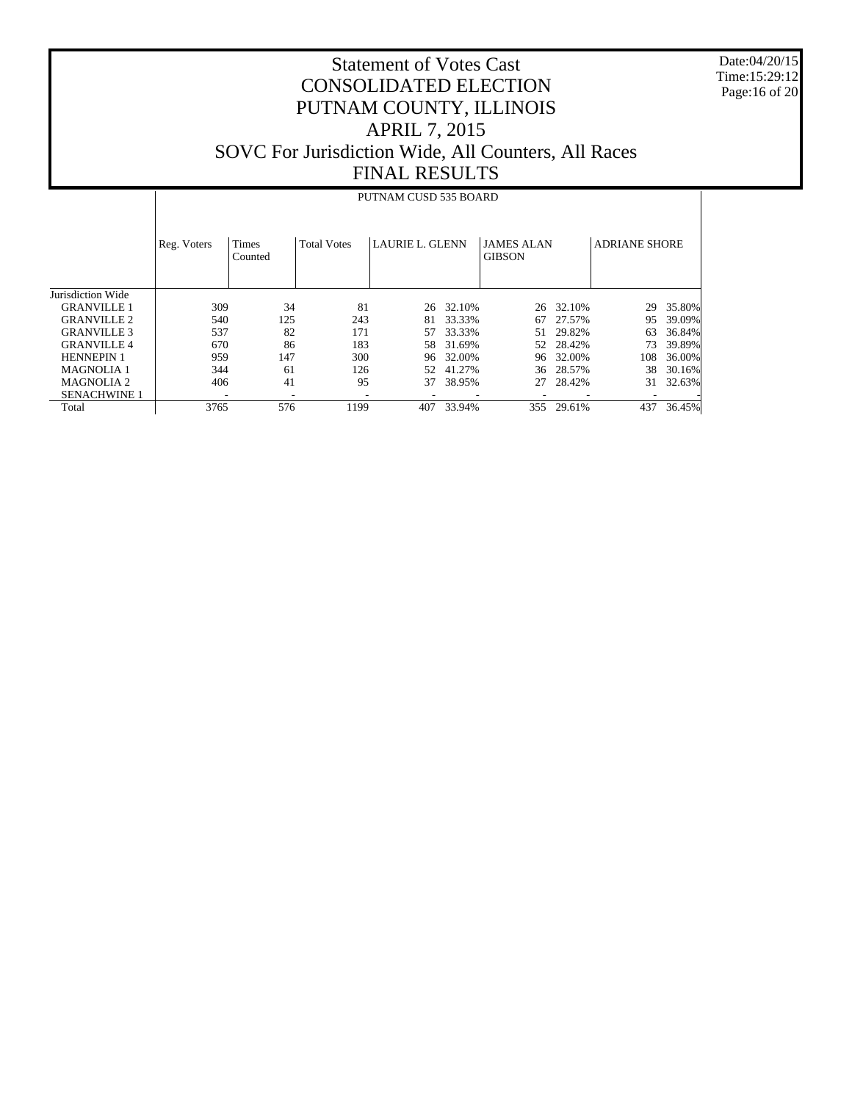Date:04/20/15 Time:15:29:12 Page:16 of 20

# Statement of Votes Cast CONSOLIDATED ELECTION PUTNAM COUNTY, ILLINOIS APRIL 7, 2015 SOVC For Jurisdiction Wide, All Counters, All Races FINAL RESULTS

### PUTNAM CUSD 535 BOARD

|                     | Reg. Voters | <b>Times</b><br>Counted | <b>Total Votes</b> | <b>LAURIE L. GLENN</b> |        | <b>JAMES ALAN</b><br><b>GIBSON</b> |        | <b>ADRIANE SHORE</b> |        |
|---------------------|-------------|-------------------------|--------------------|------------------------|--------|------------------------------------|--------|----------------------|--------|
| Jurisdiction Wide   |             |                         |                    |                        |        |                                    |        |                      |        |
| <b>GRANVILLE 1</b>  | 309         | 34                      | 81                 | 26                     | 32.10% | 26                                 | 32.10% | 29                   | 35.80% |
| <b>GRANVILLE 2</b>  | 540         | 125                     | 243                | 81                     | 33.33% | 67                                 | 27.57% | 95                   | 39.09% |
| <b>GRANVILLE 3</b>  | 537         | 82                      | 171                | 57                     | 33.33% | 51                                 | 29.82% | 63                   | 36.84% |
| <b>GRANVILLE4</b>   | 670         | 86                      | 183                | 58                     | 31.69% | 52                                 | 28.42% | 73                   | 39.89% |
| <b>HENNEPIN 1</b>   | 959         | 147                     | 300                | 96                     | 32.00% | 96                                 | 32.00% | 108                  | 36.00% |
| <b>MAGNOLIA1</b>    | 344         | 61                      | 126                | 52                     | 41.27% | 36                                 | 28.57% | 38                   | 30.16% |
| <b>MAGNOLIA 2</b>   | 406         | 41                      | 95                 | 37                     | 38.95% | 27                                 | 28.42% | 31                   | 32.63% |
| <b>SENACHWINE 1</b> | -           | ۰                       | ٠                  |                        |        |                                    |        |                      |        |
| Total               | 3765        | 576                     | 1199               | 407                    | 33.94% | 355                                | 29.61% | 437                  | 36.45% |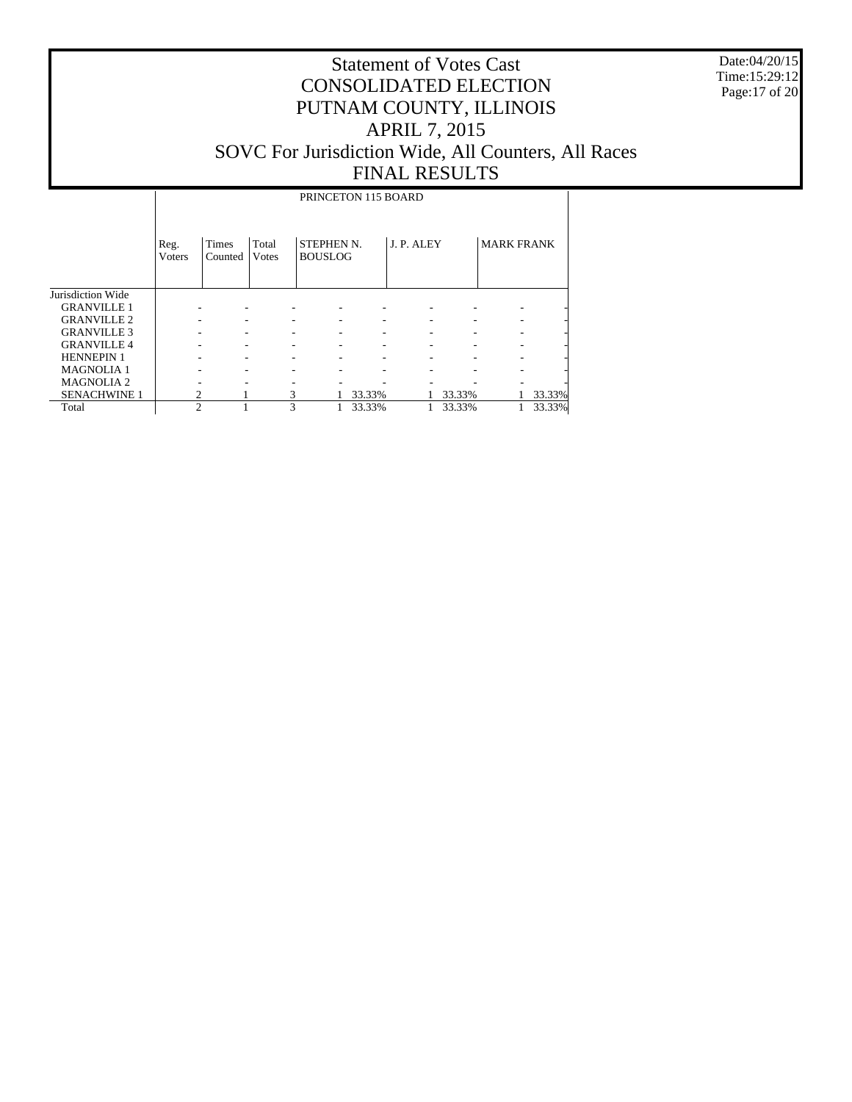Date:04/20/15 Time:15:29:12 Page:17 of 20

# Statement of Votes Cast CONSOLIDATED ELECTION PUTNAM COUNTY, ILLINOIS APRIL 7, 2015 SOVC For Jurisdiction Wide, All Counters, All Races FINAL RESULTS

### PRINCETON 115 BOARD

|                     | Reg.<br><b>V</b> oters | <b>Times</b><br>Counted | Total<br><b>V</b> otes | <b>STEPHEN N.</b><br><b>BOUSLOG</b> |        | J. P. ALEY |        | <b>MARK FRANK</b> |        |
|---------------------|------------------------|-------------------------|------------------------|-------------------------------------|--------|------------|--------|-------------------|--------|
| Jurisdiction Wide   |                        |                         |                        |                                     |        |            |        |                   |        |
| <b>GRANVILLE 1</b>  |                        |                         |                        |                                     |        |            |        |                   |        |
| <b>GRANVILLE 2</b>  |                        |                         |                        |                                     |        |            |        |                   |        |
| <b>GRANVILLE 3</b>  |                        |                         |                        |                                     |        |            |        |                   |        |
| <b>GRANVILLE 4</b>  |                        |                         |                        |                                     |        |            |        |                   |        |
| <b>HENNEPIN 1</b>   |                        |                         |                        |                                     |        |            |        |                   |        |
| <b>MAGNOLIA1</b>    |                        |                         |                        |                                     |        |            |        |                   |        |
| <b>MAGNOLIA 2</b>   |                        |                         |                        |                                     |        |            |        |                   |        |
| <b>SENACHWINE 1</b> |                        |                         | 3                      |                                     | 33.33% |            | 33.33% |                   | 33.33% |
| Total               | $\mathfrak{D}$         |                         | 3                      |                                     | 33.33% |            | 33.33% |                   | 33.33% |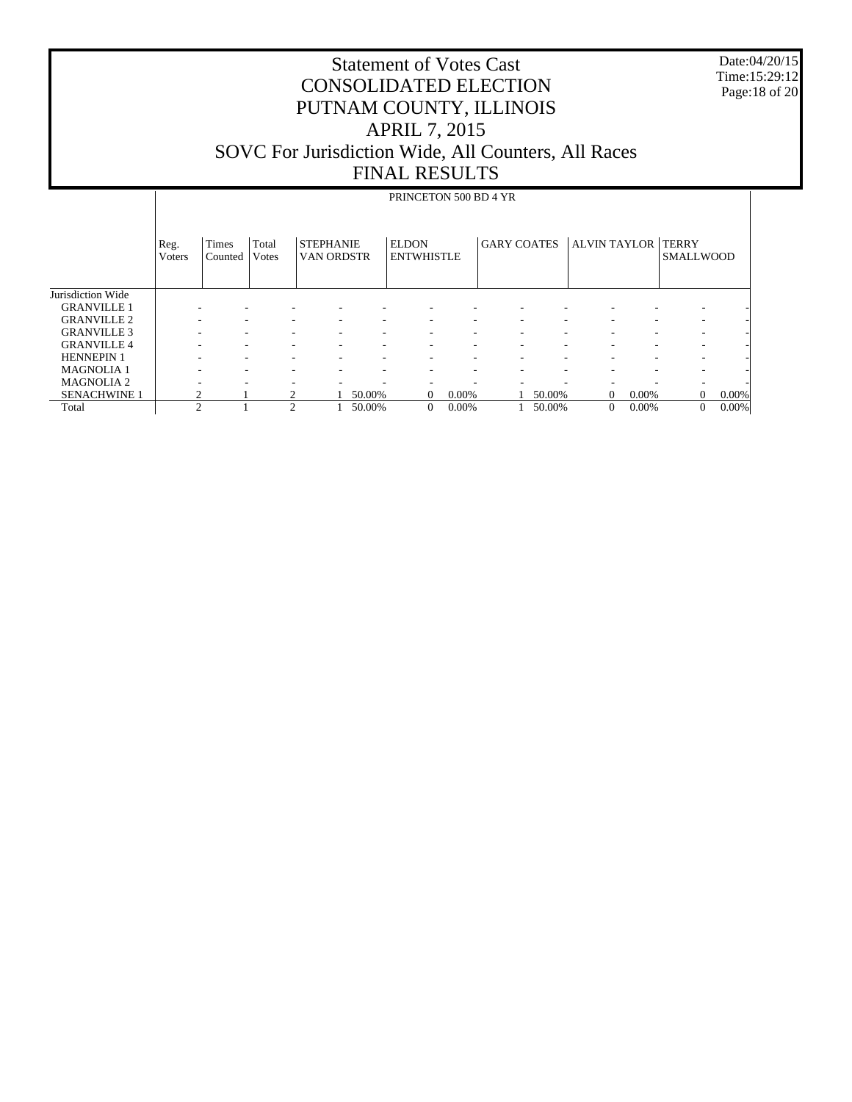Date:04/20/15 Time:15:29:12 Page:18 of 20

|                     | PRINCETON 500 BD 4 YR |                         |                |                                |        |                                   |       |                    |        |                           |          |                  |       |  |
|---------------------|-----------------------|-------------------------|----------------|--------------------------------|--------|-----------------------------------|-------|--------------------|--------|---------------------------|----------|------------------|-------|--|
|                     | Reg.<br>Voters        | <b>Times</b><br>Counted | Total<br>Votes | <b>STEPHANIE</b><br>VAN ORDSTR |        | <b>ELDON</b><br><b>ENTWHISTLE</b> |       | <b>GARY COATES</b> |        | <b>ALVIN TAYLOR TERRY</b> |          | <b>SMALLWOOD</b> |       |  |
| Jurisdiction Wide   |                       |                         |                |                                |        |                                   |       |                    |        |                           |          |                  |       |  |
| <b>GRANVILLE 1</b>  |                       |                         |                |                                |        |                                   |       |                    |        |                           |          |                  |       |  |
| <b>GRANVILLE 2</b>  |                       |                         |                |                                | ۰      | ۰                                 |       |                    |        |                           |          | ۰                |       |  |
| <b>GRANVILLE 3</b>  |                       |                         |                |                                | ۰      | ۰                                 | ۰     |                    |        |                           | ۰        | ۰                |       |  |
| <b>GRANVILLE 4</b>  |                       |                         |                |                                | ۰      | ۰                                 | ٠     | ٠                  |        |                           | ٠        | ٠                |       |  |
| <b>HENNEPIN 1</b>   |                       |                         |                |                                | ۰      | ۰                                 | ۰     | ۰                  |        |                           | ۰        | ۰                |       |  |
| <b>MAGNOLIA1</b>    |                       |                         |                |                                | ۰      | ۰                                 |       |                    |        |                           | ۰        | ۰                |       |  |
| <b>MAGNOLIA2</b>    |                       |                         |                |                                | ۰      | ٠                                 |       |                    |        |                           |          | ۰                |       |  |
| <b>SENACHWINE 1</b> |                       |                         |                |                                | 50.00% | $\mathbf{0}$                      | 0.00% |                    | 50.00% | $\Omega$                  | $0.00\%$ | $\Omega$         | 0.00% |  |
| Total               | $\overline{c}$        |                         | $\overline{c}$ |                                | 50.00% | $\mathbf{0}$                      | 0.00% |                    | 50.00% | $\mathbf{0}$              | 0.00%    | $\theta$         | 0.00% |  |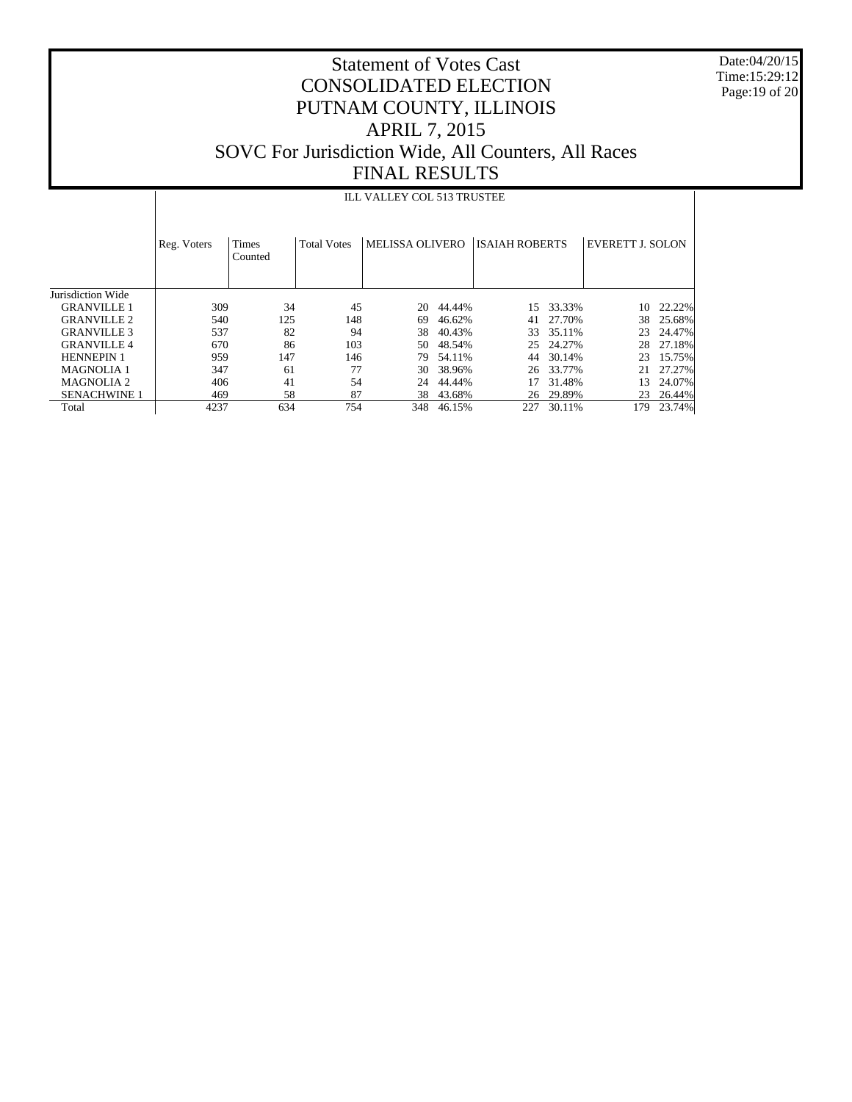Date:04/20/15 Time:15:29:12 Page:19 of 20

# Statement of Votes Cast CONSOLIDATED ELECTION PUTNAM COUNTY, ILLINOIS APRIL 7, 2015 SOVC For Jurisdiction Wide, All Counters, All Races FINAL RESULTS

### ILL VALLEY COL 513 TRUSTEE

|                     | Reg. Voters | <b>Times</b><br>Counted | <b>Total Votes</b> | <b>MELISSA OLIVERO</b> |        | <b>ISAIAH ROBERTS</b> |        | <b>EVERETT J. SOLON</b> |        |
|---------------------|-------------|-------------------------|--------------------|------------------------|--------|-----------------------|--------|-------------------------|--------|
| Jurisdiction Wide   |             |                         |                    |                        |        |                       |        |                         |        |
| <b>GRANVILLE 1</b>  | 309         | 34                      | 45                 | 20                     | 44.44% | 15.                   | 33.33% | 10                      | 22.22% |
| <b>GRANVILLE 2</b>  | 540         | 125                     | 148                | 69                     | 46.62% | 41                    | 27.70% | 38                      | 25.68% |
| <b>GRANVILLE 3</b>  | 537         | 82                      | 94                 | 38                     | 40.43% | 33                    | 35.11% | 23                      | 24.47% |
| <b>GRANVILLE4</b>   | 670         | 86                      | 103                | 50                     | 48.54% | 25                    | 24.27% | 28                      | 27.18% |
| <b>HENNEPIN 1</b>   | 959         | 147                     | 146                | 79                     | 54.11% | 44                    | 30.14% | 23                      | 15.75% |
| <b>MAGNOLIA 1</b>   | 347         | 61                      | 77                 | 30                     | 38.96% | 26                    | 33.77% | 21                      | 27.27% |
| <b>MAGNOLIA 2</b>   | 406         | 41                      | 54                 | 24                     | 44.44% |                       | 31.48% | 13                      | 24.07% |
| <b>SENACHWINE 1</b> | 469         | 58                      | 87                 | 38                     | 43.68% | 26                    | 29.89% | 23                      | 26.44% |
| Total               | 4237        | 634                     | 754                | 348                    | 46.15% | 227                   | 30.11% | 179                     | 23.74% |